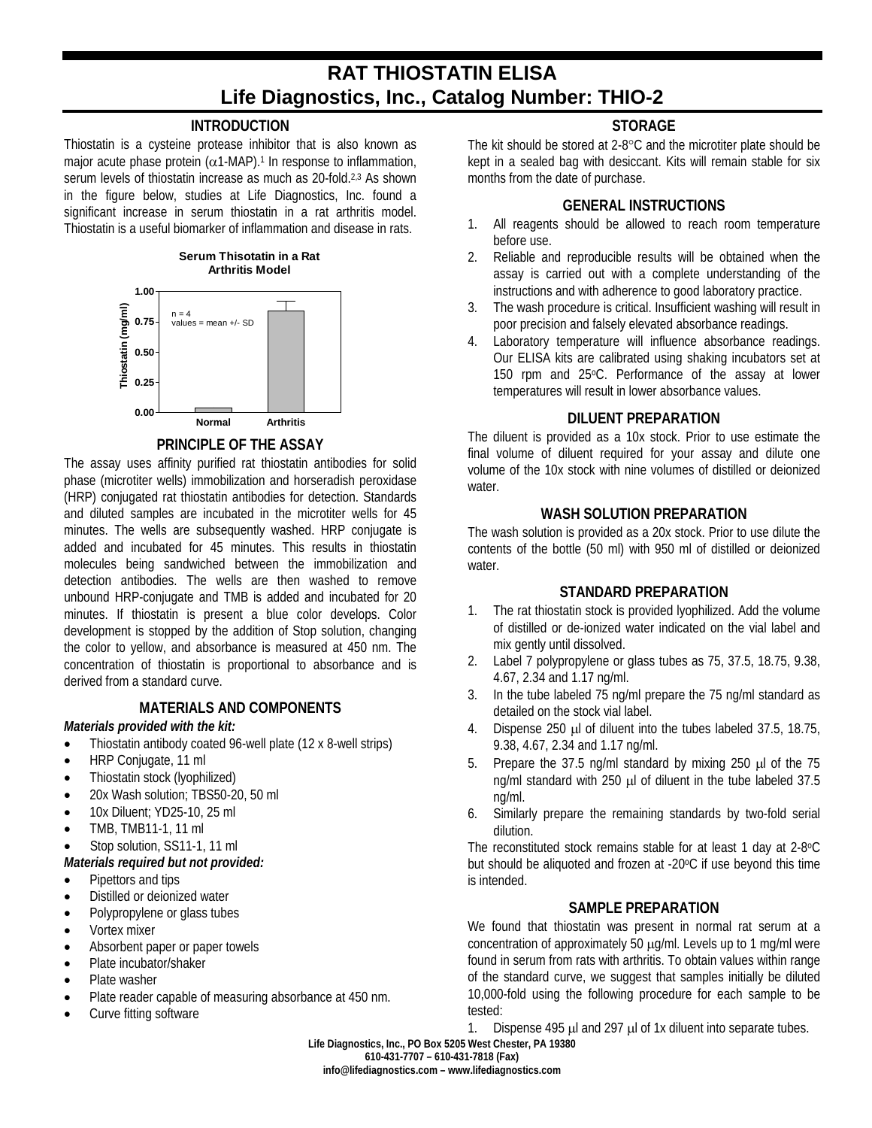# **RAT THIOSTATIN ELISA Life Diagnostics, Inc., Catalog Number: THIO-2**

## **INTRODUCTION**

Thiostatin is a cysteine protease inhibitor that is also known as major acute phase protein ( $\alpha$ 1-MAP).<sup>1</sup> In response to inflammation, serum levels of thiostatin increase as much as 20-fold.<sup>2,3</sup> As shown in the figure below, studies at Life Diagnostics, Inc. found a significant increase in serum thiostatin in a rat arthritis model. Thiostatin is a useful biomarker of inflammation and disease in rats.



#### **PRINCIPLE OF THE ASSAY**

The assay uses affinity purified rat thiostatin antibodies for solid phase (microtiter wells) immobilization and horseradish peroxidase (HRP) conjugated rat thiostatin antibodies for detection. Standards and diluted samples are incubated in the microtiter wells for 45 minutes. The wells are subsequently washed. HRP conjugate is added and incubated for 45 minutes. This results in thiostatin molecules being sandwiched between the immobilization and detection antibodies. The wells are then washed to remove unbound HRP-conjugate and TMB is added and incubated for 20 minutes. If thiostatin is present a blue color develops. Color development is stopped by the addition of Stop solution, changing the color to yellow, and absorbance is measured at 450 nm. The concentration of thiostatin is proportional to absorbance and is derived from a standard curve.

#### **MATERIALS AND COMPONENTS**

## *Materials provided with the kit:*

- Thiostatin antibody coated 96-well plate (12 x 8-well strips)
- HRP Conjugate, 11 ml
- Thiostatin stock (lyophilized)
- 20x Wash solution: TBS50-20, 50 ml
- 10x Diluent: YD25-10, 25 ml
- TMB, TMB11-1, 11 ml

#### Stop solution, SS11-1, 11 ml

#### *Materials required but not provided:*

- Pipettors and tips
- Distilled or deionized water
- Polypropylene or glass tubes
- Vortex mixer
- Absorbent paper or paper towels
- Plate incubator/shaker
- Plate washer
- Plate reader capable of measuring absorbance at 450 nm.
- Curve fitting software

## **STORAGE**

The kit should be stored at 2-8°C and the microtiter plate should be kept in a sealed bag with desiccant. Kits will remain stable for six months from the date of purchase.

## **GENERAL INSTRUCTIONS**

- 1. All reagents should be allowed to reach room temperature before use.
- 2. Reliable and reproducible results will be obtained when the assay is carried out with a complete understanding of the instructions and with adherence to good laboratory practice.
- 3. The wash procedure is critical. Insufficient washing will result in poor precision and falsely elevated absorbance readings.
- 4. Laboratory temperature will influence absorbance readings. Our ELISA kits are calibrated using shaking incubators set at 150 rpm and 25°C. Performance of the assay at lower temperatures will result in lower absorbance values.

## **DILUENT PREPARATION**

The diluent is provided as a 10x stock. Prior to use estimate the final volume of diluent required for your assay and dilute one volume of the 10x stock with nine volumes of distilled or deionized water

#### **WASH SOLUTION PREPARATION**

The wash solution is provided as a 20x stock. Prior to use dilute the contents of the bottle (50 ml) with 950 ml of distilled or deionized water.

#### **STANDARD PREPARATION**

- 1. The rat thiostatin stock is provided lyophilized. Add the volume of distilled or de-ionized water indicated on the vial label and mix gently until dissolved.
- 2. Label 7 polypropylene or glass tubes as 75, 37.5, 18.75, 9.38, 4.67, 2.34 and 1.17 ng/ml.
- 3. In the tube labeled 75 ng/ml prepare the 75 ng/ml standard as detailed on the stock vial label.
- 4. Dispense 250 µl of diluent into the tubes labeled 37.5, 18.75, 9.38, 4.67, 2.34 and 1.17 ng/ml.
- 5. Prepare the 37.5 ng/ml standard by mixing 250 ul of the 75 ng/ml standard with 250 µl of diluent in the tube labeled 37.5 ng/ml.
- 6. Similarly prepare the remaining standards by two-fold serial dilution.

The reconstituted stock remains stable for at least 1 day at 2-8°C but should be aliquoted and frozen at -20°C if use beyond this time is intended.

#### **SAMPLE PREPARATION**

We found that thiostatin was present in normal rat serum at a concentration of approximately 50 µg/ml. Levels up to 1 mg/ml were found in serum from rats with arthritis. To obtain values within range of the standard curve, we suggest that samples initially be diluted 10,000-fold using the following procedure for each sample to be tested:

1. Dispense 495  $\mu$ l and 297  $\mu$ l of 1x diluent into separate tubes.

**Life Diagnostics, Inc., PO Box 5205 West Chester, PA 19380**

**610-431-7707 – 610-431-7818 (Fax)**

**info@lifediagnostics.com – www.lifediagnostics.com**